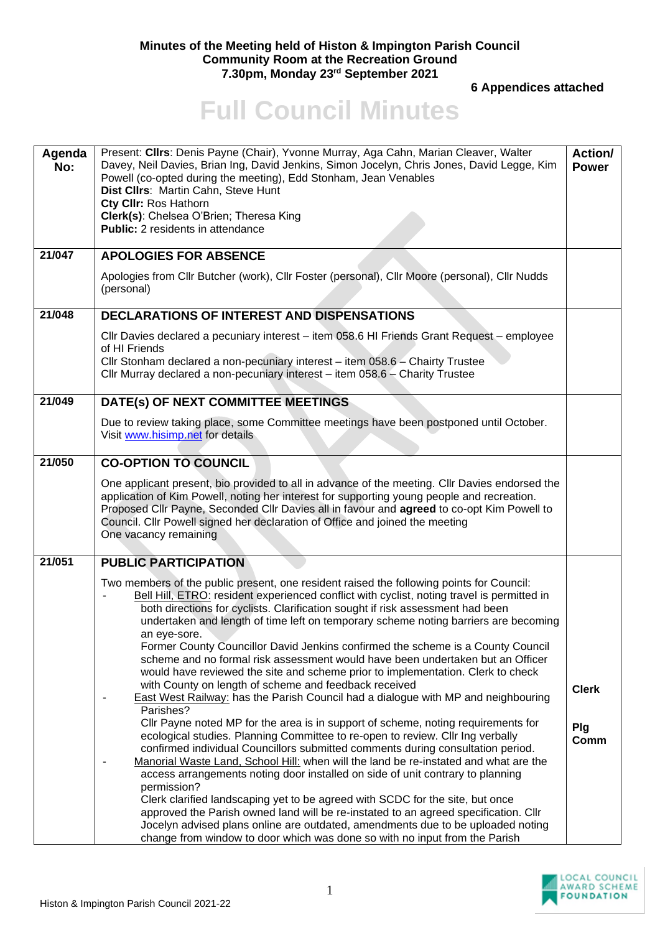## **Minutes of the Meeting held of Histon & Impington Parish Council Community Room at the Recreation Ground 7.30pm, Monday 23rd September 2021**

 **6 Appendices attached** 

## **Full Council Minutes**

| Agenda<br>No: | Present: Cllrs: Denis Payne (Chair), Yvonne Murray, Aga Cahn, Marian Cleaver, Walter<br>Davey, Neil Davies, Brian Ing, David Jenkins, Simon Jocelyn, Chris Jones, David Legge, Kim<br>Powell (co-opted during the meeting), Edd Stonham, Jean Venables<br>Dist Cllrs: Martin Cahn, Steve Hunt<br>Cty CIIr: Ros Hathorn<br>Clerk(s): Chelsea O'Brien; Theresa King<br><b>Public:</b> 2 residents in attendance                                                                                                                                                                                                                                                                                                                                                                                             | <b>Action/</b><br><b>Power</b> |
|---------------|-----------------------------------------------------------------------------------------------------------------------------------------------------------------------------------------------------------------------------------------------------------------------------------------------------------------------------------------------------------------------------------------------------------------------------------------------------------------------------------------------------------------------------------------------------------------------------------------------------------------------------------------------------------------------------------------------------------------------------------------------------------------------------------------------------------|--------------------------------|
| 21/047        | <b>APOLOGIES FOR ABSENCE</b>                                                                                                                                                                                                                                                                                                                                                                                                                                                                                                                                                                                                                                                                                                                                                                              |                                |
|               | Apologies from Cllr Butcher (work), Cllr Foster (personal), Cllr Moore (personal), Cllr Nudds<br>(personal)                                                                                                                                                                                                                                                                                                                                                                                                                                                                                                                                                                                                                                                                                               |                                |
| 21/048        | <b>DECLARATIONS OF INTEREST AND DISPENSATIONS</b>                                                                                                                                                                                                                                                                                                                                                                                                                                                                                                                                                                                                                                                                                                                                                         |                                |
|               | Cllr Davies declared a pecuniary interest - item 058.6 HI Friends Grant Request - employee<br>of HI Friends<br>Cllr Stonham declared a non-pecuniary interest - item 058.6 - Chairty Trustee<br>Cllr Murray declared a non-pecuniary interest - item 058.6 - Charity Trustee                                                                                                                                                                                                                                                                                                                                                                                                                                                                                                                              |                                |
| 21/049        | DATE(s) OF NEXT COMMITTEE MEETINGS                                                                                                                                                                                                                                                                                                                                                                                                                                                                                                                                                                                                                                                                                                                                                                        |                                |
|               | Due to review taking place, some Committee meetings have been postponed until October.<br>Visit www.hisimp.net for details                                                                                                                                                                                                                                                                                                                                                                                                                                                                                                                                                                                                                                                                                |                                |
| 21/050        | <b>CO-OPTION TO COUNCIL</b>                                                                                                                                                                                                                                                                                                                                                                                                                                                                                                                                                                                                                                                                                                                                                                               |                                |
|               | One applicant present, bio provided to all in advance of the meeting. Cllr Davies endorsed the<br>application of Kim Powell, noting her interest for supporting young people and recreation.<br>Proposed Cllr Payne, Seconded Cllr Davies all in favour and agreed to co-opt Kim Powell to<br>Council. Cllr Powell signed her declaration of Office and joined the meeting<br>One vacancy remaining                                                                                                                                                                                                                                                                                                                                                                                                       |                                |
| 21/051        | <b>PUBLIC PARTICIPATION</b>                                                                                                                                                                                                                                                                                                                                                                                                                                                                                                                                                                                                                                                                                                                                                                               |                                |
|               | Two members of the public present, one resident raised the following points for Council:<br>Bell Hill, ETRO: resident experienced conflict with cyclist, noting travel is permitted in<br>both directions for cyclists. Clarification sought if risk assessment had been<br>undertaken and length of time left on temporary scheme noting barriers are becoming<br>an eye-sore.<br>Former County Councillor David Jenkins confirmed the scheme is a County Council<br>scheme and no formal risk assessment would have been undertaken but an Officer<br>would have reviewed the site and scheme prior to implementation. Clerk to check<br>with County on length of scheme and feedback received<br><b>East West Railway:</b> has the Parish Council had a dialogue with MP and neighbouring<br>Parishes? | <b>Clerk</b>                   |
|               | Cllr Payne noted MP for the area is in support of scheme, noting requirements for<br>ecological studies. Planning Committee to re-open to review. Cllr Ing verbally<br>confirmed individual Councillors submitted comments during consultation period.<br>Manorial Waste Land, School Hill: when will the land be re-instated and what are the<br>access arrangements noting door installed on side of unit contrary to planning<br>permission?<br>Clerk clarified landscaping yet to be agreed with SCDC for the site, but once<br>approved the Parish owned land will be re-instated to an agreed specification. Cllr<br>Jocelyn advised plans online are outdated, amendments due to be uploaded noting<br>change from window to door which was done so with no input from the Parish                  | Plg<br>Comm                    |

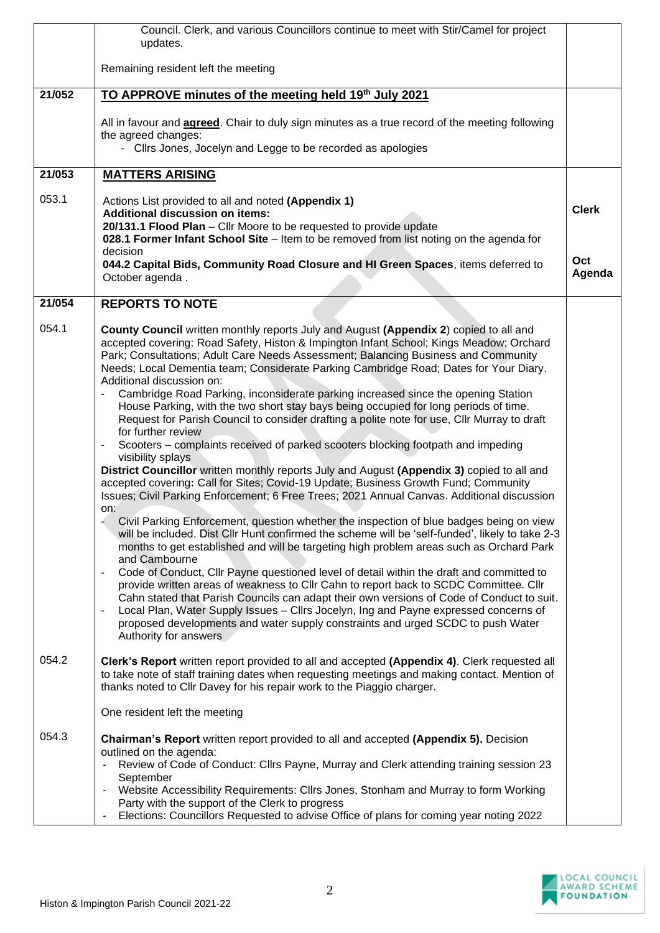|        | Council. Clerk, and various Councillors continue to meet with Stir/Camel for project<br>updates.                                                                                                                                                                                                                                                                                                                                                                                                                                                                                                                                                                                                                                                                                                                                                                                                                                                                                                                                                                                                                                                                                                                                                                                                                                                                                                                                                                                                                                                                                                                                                                                                                                                                                                                                                                                                  |                               |
|--------|---------------------------------------------------------------------------------------------------------------------------------------------------------------------------------------------------------------------------------------------------------------------------------------------------------------------------------------------------------------------------------------------------------------------------------------------------------------------------------------------------------------------------------------------------------------------------------------------------------------------------------------------------------------------------------------------------------------------------------------------------------------------------------------------------------------------------------------------------------------------------------------------------------------------------------------------------------------------------------------------------------------------------------------------------------------------------------------------------------------------------------------------------------------------------------------------------------------------------------------------------------------------------------------------------------------------------------------------------------------------------------------------------------------------------------------------------------------------------------------------------------------------------------------------------------------------------------------------------------------------------------------------------------------------------------------------------------------------------------------------------------------------------------------------------------------------------------------------------------------------------------------------------|-------------------------------|
|        | Remaining resident left the meeting                                                                                                                                                                                                                                                                                                                                                                                                                                                                                                                                                                                                                                                                                                                                                                                                                                                                                                                                                                                                                                                                                                                                                                                                                                                                                                                                                                                                                                                                                                                                                                                                                                                                                                                                                                                                                                                               |                               |
| 21/052 | TO APPROVE minutes of the meeting held 19 <sup>th</sup> July 2021                                                                                                                                                                                                                                                                                                                                                                                                                                                                                                                                                                                                                                                                                                                                                                                                                                                                                                                                                                                                                                                                                                                                                                                                                                                                                                                                                                                                                                                                                                                                                                                                                                                                                                                                                                                                                                 |                               |
|        | All in favour and <b>agreed</b> . Chair to duly sign minutes as a true record of the meeting following<br>the agreed changes:<br>- Cllrs Jones, Jocelyn and Legge to be recorded as apologies                                                                                                                                                                                                                                                                                                                                                                                                                                                                                                                                                                                                                                                                                                                                                                                                                                                                                                                                                                                                                                                                                                                                                                                                                                                                                                                                                                                                                                                                                                                                                                                                                                                                                                     |                               |
| 21/053 | <b>MATTERS ARISING</b>                                                                                                                                                                                                                                                                                                                                                                                                                                                                                                                                                                                                                                                                                                                                                                                                                                                                                                                                                                                                                                                                                                                                                                                                                                                                                                                                                                                                                                                                                                                                                                                                                                                                                                                                                                                                                                                                            |                               |
| 053.1  | Actions List provided to all and noted (Appendix 1)<br><b>Additional discussion on items:</b><br>20/131.1 Flood Plan - Cllr Moore to be requested to provide update<br>028.1 Former Infant School Site - Item to be removed from list noting on the agenda for<br>decision<br>044.2 Capital Bids, Community Road Closure and HI Green Spaces, items deferred to<br>October agenda.                                                                                                                                                                                                                                                                                                                                                                                                                                                                                                                                                                                                                                                                                                                                                                                                                                                                                                                                                                                                                                                                                                                                                                                                                                                                                                                                                                                                                                                                                                                | <b>Clerk</b><br>Oct<br>Agenda |
| 21/054 | <b>REPORTS TO NOTE</b>                                                                                                                                                                                                                                                                                                                                                                                                                                                                                                                                                                                                                                                                                                                                                                                                                                                                                                                                                                                                                                                                                                                                                                                                                                                                                                                                                                                                                                                                                                                                                                                                                                                                                                                                                                                                                                                                            |                               |
| 054.1  | County Council written monthly reports July and August (Appendix 2) copied to all and<br>accepted covering: Road Safety, Histon & Impington Infant School; Kings Meadow; Orchard<br>Park; Consultations; Adult Care Needs Assessment; Balancing Business and Community<br>Needs; Local Dementia team; Considerate Parking Cambridge Road; Dates for Your Diary.<br>Additional discussion on:<br>Cambridge Road Parking, inconsiderate parking increased since the opening Station<br>House Parking, with the two short stay bays being occupied for long periods of time.<br>Request for Parish Council to consider drafting a polite note for use, Cllr Murray to draft<br>for further review<br>Scooters - complaints received of parked scooters blocking footpath and impeding<br>visibility splays<br>District Councillor written monthly reports July and August (Appendix 3) copied to all and<br>accepted covering: Call for Sites; Covid-19 Update; Business Growth Fund; Community<br>Issues; Civil Parking Enforcement; 6 Free Trees; 2021 Annual Canvas. Additional discussion<br>on:<br>Civil Parking Enforcement, question whether the inspection of blue badges being on view<br>will be included. Dist Cllr Hunt confirmed the scheme will be 'self-funded', likely to take 2-3<br>months to get established and will be targeting high problem areas such as Orchard Park<br>and Cambourne<br>Code of Conduct, Cllr Payne questioned level of detail within the draft and committed to<br>provide written areas of weakness to Cllr Cahn to report back to SCDC Committee. Cllr<br>Cahn stated that Parish Councils can adapt their own versions of Code of Conduct to suit.<br>Local Plan, Water Supply Issues - Cllrs Jocelyn, Ing and Payne expressed concerns of<br>proposed developments and water supply constraints and urged SCDC to push Water<br>Authority for answers |                               |
| 054.2  | Clerk's Report written report provided to all and accepted (Appendix 4). Clerk requested all<br>to take note of staff training dates when requesting meetings and making contact. Mention of<br>thanks noted to Cllr Davey for his repair work to the Piaggio charger.<br>One resident left the meeting                                                                                                                                                                                                                                                                                                                                                                                                                                                                                                                                                                                                                                                                                                                                                                                                                                                                                                                                                                                                                                                                                                                                                                                                                                                                                                                                                                                                                                                                                                                                                                                           |                               |
| 054.3  | Chairman's Report written report provided to all and accepted (Appendix 5). Decision<br>outlined on the agenda:<br>Review of Code of Conduct: Cllrs Payne, Murray and Clerk attending training session 23<br>September<br>Website Accessibility Requirements: Cllrs Jones, Stonham and Murray to form Working<br>Party with the support of the Clerk to progress<br>Elections: Councillors Requested to advise Office of plans for coming year noting 2022<br>$\blacksquare$                                                                                                                                                                                                                                                                                                                                                                                                                                                                                                                                                                                                                                                                                                                                                                                                                                                                                                                                                                                                                                                                                                                                                                                                                                                                                                                                                                                                                      |                               |

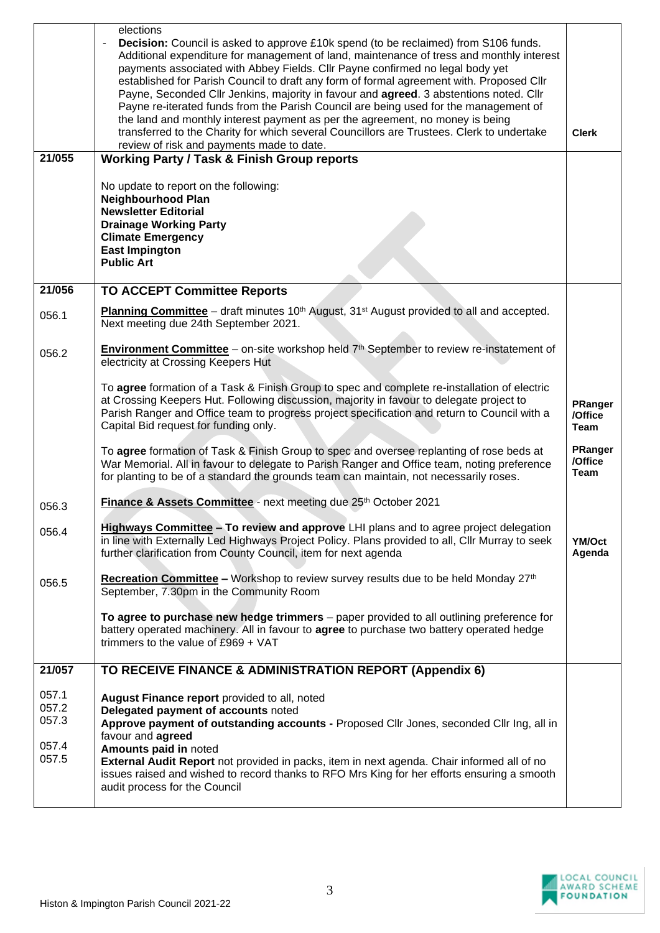|                                           | elections<br><b>Decision:</b> Council is asked to approve £10k spend (to be reclaimed) from S106 funds.<br>Additional expenditure for management of land, maintenance of tress and monthly interest<br>payments associated with Abbey Fields. Cllr Payne confirmed no legal body yet<br>established for Parish Council to draft any form of formal agreement with. Proposed Cllr<br>Payne, Seconded Cllr Jenkins, majority in favour and agreed. 3 abstentions noted. Cllr<br>Payne re-iterated funds from the Parish Council are being used for the management of<br>the land and monthly interest payment as per the agreement, no money is being<br>transferred to the Charity for which several Councillors are Trustees. Clerk to undertake<br>review of risk and payments made to date. | <b>Clerk</b>                      |
|-------------------------------------------|-----------------------------------------------------------------------------------------------------------------------------------------------------------------------------------------------------------------------------------------------------------------------------------------------------------------------------------------------------------------------------------------------------------------------------------------------------------------------------------------------------------------------------------------------------------------------------------------------------------------------------------------------------------------------------------------------------------------------------------------------------------------------------------------------|-----------------------------------|
| 21/055                                    | <b>Working Party / Task &amp; Finish Group reports</b>                                                                                                                                                                                                                                                                                                                                                                                                                                                                                                                                                                                                                                                                                                                                        |                                   |
|                                           | No update to report on the following:<br><b>Neighbourhood Plan</b><br><b>Newsletter Editorial</b><br><b>Drainage Working Party</b><br><b>Climate Emergency</b><br><b>East Impington</b><br><b>Public Art</b>                                                                                                                                                                                                                                                                                                                                                                                                                                                                                                                                                                                  |                                   |
| 21/056                                    | <b>TO ACCEPT Committee Reports</b>                                                                                                                                                                                                                                                                                                                                                                                                                                                                                                                                                                                                                                                                                                                                                            |                                   |
| 056.1                                     | Planning Committee - draft minutes 10 <sup>th</sup> August, 31 <sup>st</sup> August provided to all and accepted.<br>Next meeting due 24th September 2021.                                                                                                                                                                                                                                                                                                                                                                                                                                                                                                                                                                                                                                    |                                   |
| 056.2                                     | <b>Environment Committee</b> – on-site workshop held $7th$ September to review re-instatement of<br>electricity at Crossing Keepers Hut                                                                                                                                                                                                                                                                                                                                                                                                                                                                                                                                                                                                                                                       |                                   |
|                                           | To agree formation of a Task & Finish Group to spec and complete re-installation of electric<br>at Crossing Keepers Hut. Following discussion, majority in favour to delegate project to<br>Parish Ranger and Office team to progress project specification and return to Council with a<br>Capital Bid request for funding only.                                                                                                                                                                                                                                                                                                                                                                                                                                                             | PRanger<br>/Office<br><b>Team</b> |
|                                           | To agree formation of Task & Finish Group to spec and oversee replanting of rose beds at<br>War Memorial. All in favour to delegate to Parish Ranger and Office team, noting preference<br>for planting to be of a standard the grounds team can maintain, not necessarily roses.                                                                                                                                                                                                                                                                                                                                                                                                                                                                                                             | PRanger<br>/Office<br><b>Team</b> |
| 056.3                                     | Finance & Assets Committee - next meeting due 25th October 2021                                                                                                                                                                                                                                                                                                                                                                                                                                                                                                                                                                                                                                                                                                                               |                                   |
| 056.4                                     | Highways Committee - To review and approve LHI plans and to agree project delegation<br>in line with Externally Led Highways Project Policy. Plans provided to all, Cllr Murray to seek<br>further clarification from County Council, item for next agenda                                                                                                                                                                                                                                                                                                                                                                                                                                                                                                                                    | YM/Oct<br>Agenda                  |
| 056.5                                     | Recreation Committee - Workshop to review survey results due to be held Monday 27 <sup>th</sup><br>September, 7.30pm in the Community Room                                                                                                                                                                                                                                                                                                                                                                                                                                                                                                                                                                                                                                                    |                                   |
|                                           | To agree to purchase new hedge trimmers - paper provided to all outlining preference for<br>battery operated machinery. All in favour to agree to purchase two battery operated hedge<br>trimmers to the value of $£969 + VAT$                                                                                                                                                                                                                                                                                                                                                                                                                                                                                                                                                                |                                   |
| 21/057                                    | TO RECEIVE FINANCE & ADMINISTRATION REPORT (Appendix 6)                                                                                                                                                                                                                                                                                                                                                                                                                                                                                                                                                                                                                                                                                                                                       |                                   |
| 057.1<br>057.2<br>057.3<br>057.4<br>057.5 | August Finance report provided to all, noted<br>Delegated payment of accounts noted<br>Approve payment of outstanding accounts - Proposed Cllr Jones, seconded Cllr Ing, all in<br>favour and agreed<br>Amounts paid in noted<br>External Audit Report not provided in packs, item in next agenda. Chair informed all of no<br>issues raised and wished to record thanks to RFO Mrs King for her efforts ensuring a smooth<br>audit process for the Council                                                                                                                                                                                                                                                                                                                                   |                                   |

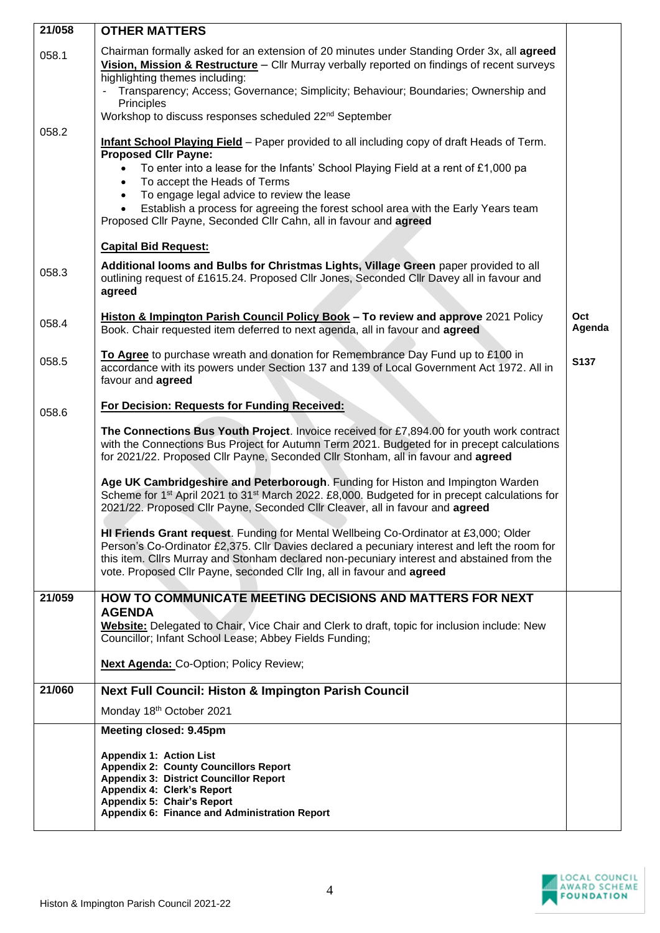| 21/058 | <b>OTHER MATTERS</b>                                                                                                                                                                                                                                                                                                                                                                                  |               |
|--------|-------------------------------------------------------------------------------------------------------------------------------------------------------------------------------------------------------------------------------------------------------------------------------------------------------------------------------------------------------------------------------------------------------|---------------|
| 058.1  | Chairman formally asked for an extension of 20 minutes under Standing Order 3x, all agreed<br>Vision, Mission & Restructure - Cllr Murray verbally reported on findings of recent surveys<br>highlighting themes including:<br>Transparency; Access; Governance; Simplicity; Behaviour; Boundaries; Ownership and<br>Principles<br>Workshop to discuss responses scheduled 22 <sup>nd</sup> September |               |
| 058.2  | <b>Infant School Playing Field</b> - Paper provided to all including copy of draft Heads of Term.<br><b>Proposed Cllr Payne:</b><br>To enter into a lease for the Infants' School Playing Field at a rent of £1,000 pa<br>$\bullet$                                                                                                                                                                   |               |
|        | To accept the Heads of Terms<br>$\bullet$<br>To engage legal advice to review the lease<br>$\bullet$<br>Establish a process for agreeing the forest school area with the Early Years team<br>$\bullet$<br>Proposed Cllr Payne, Seconded Cllr Cahn, all in favour and agreed                                                                                                                           |               |
|        | <b>Capital Bid Request:</b>                                                                                                                                                                                                                                                                                                                                                                           |               |
| 058.3  | Additional looms and Bulbs for Christmas Lights, Village Green paper provided to all<br>outlining request of £1615.24. Proposed Cllr Jones, Seconded Cllr Davey all in favour and<br>agreed                                                                                                                                                                                                           |               |
| 058.4  | Histon & Impington Parish Council Policy Book - To review and approve 2021 Policy<br>Book. Chair requested item deferred to next agenda, all in favour and agreed                                                                                                                                                                                                                                     | Oct<br>Agenda |
| 058.5  | To Agree to purchase wreath and donation for Remembrance Day Fund up to £100 in<br>accordance with its powers under Section 137 and 139 of Local Government Act 1972. All in<br>favour and agreed                                                                                                                                                                                                     | S137          |
| 058.6  | For Decision: Requests for Funding Received:                                                                                                                                                                                                                                                                                                                                                          |               |
|        | The Connections Bus Youth Project. Invoice received for £7,894.00 for youth work contract<br>with the Connections Bus Project for Autumn Term 2021. Budgeted for in precept calculations<br>for 2021/22. Proposed Cllr Payne, Seconded Cllr Stonham, all in favour and agreed                                                                                                                         |               |
|        | Age UK Cambridgeshire and Peterborough. Funding for Histon and Impington Warden<br>Scheme for 1 <sup>st</sup> April 2021 to 31 <sup>st</sup> March 2022. £8,000. Budgeted for in precept calculations for<br>2021/22. Proposed Cllr Payne, Seconded Cllr Cleaver, all in favour and agreed                                                                                                            |               |
|        | HI Friends Grant request. Funding for Mental Wellbeing Co-Ordinator at £3,000; Older<br>Person's Co-Ordinator £2,375. Cllr Davies declared a pecuniary interest and left the room for<br>this item. Clirs Murray and Stonham declared non-pecuniary interest and abstained from the<br>vote. Proposed Cllr Payne, seconded Cllr Ing, all in favour and agreed                                         |               |
| 21/059 | HOW TO COMMUNICATE MEETING DECISIONS AND MATTERS FOR NEXT                                                                                                                                                                                                                                                                                                                                             |               |
|        | <b>AGENDA</b><br>Website: Delegated to Chair, Vice Chair and Clerk to draft, topic for inclusion include: New<br>Councillor; Infant School Lease; Abbey Fields Funding;                                                                                                                                                                                                                               |               |
|        | <b>Next Agenda: Co-Option; Policy Review;</b>                                                                                                                                                                                                                                                                                                                                                         |               |
| 21/060 | Next Full Council: Histon & Impington Parish Council                                                                                                                                                                                                                                                                                                                                                  |               |
|        | Monday 18th October 2021                                                                                                                                                                                                                                                                                                                                                                              |               |
|        | Meeting closed: 9.45pm                                                                                                                                                                                                                                                                                                                                                                                |               |
|        | <b>Appendix 1: Action List</b><br><b>Appendix 2: County Councillors Report</b><br><b>Appendix 3: District Councillor Report</b><br>Appendix 4: Clerk's Report<br>Appendix 5: Chair's Report<br>Appendix 6: Finance and Administration Report                                                                                                                                                          |               |
|        |                                                                                                                                                                                                                                                                                                                                                                                                       |               |